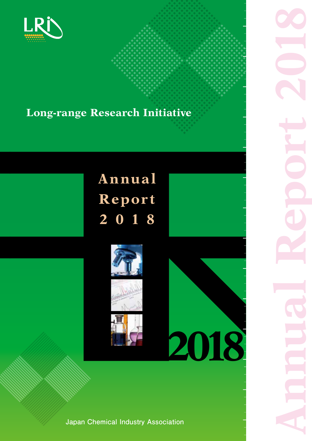

## **Long-range Research Initiative**

# **Annual t Repor 8 1 0 2**





**Japan Chemical Industry Association**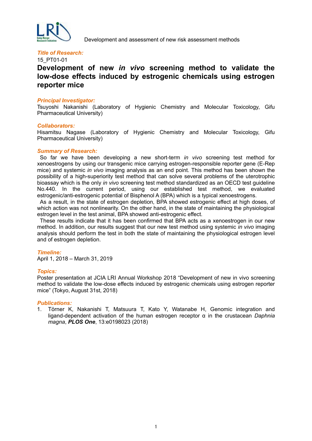

15\_PT01-01

## **Development of new in vivo screening method to validate the low-dose effects induced by estrogenic chemicals using estrogen** reporter mice

#### **Principal Investigator:**

Tsuyoshi Nakanishi (Laboratory of Hygienic Chemistry and Molecular Toxicology, Gifu Pharmaceutical University)

#### *:Collaborators*

Hisamitsu Nagase (Laboratory of Hygienic Chemistry and Molecular Toxicology, Gifu Pharmaceutical University)

#### **Summary of Research:**

So far we have been developing a new short-term *in vivo* screening test method for xenoestrogens by using our transgenic mice carrying estrogen-responsible reporter gene (E-Rep mice) and systemic *in vivo* imaging analysis as an end point. This method has been shown the possibility of a high-superiority test method that can solve several problems of the uterotrophic bioassay which is the only *in vivo* screening test method standardized as an OECD test guideline No.440. In the current period, using our established test method, we evaluated estrogenic/anti-estrogenic potential of Bisphenol A (BPA) which is a typical xenoestrogens.

As a result, in the state of estrogen depletion, BPA showed estrogenic effect at high doses, of which action was not nonlinearity. On the other hand, in the state of maintaining the physiological estrogen level in the test animal. BPA showed anti-estrogenic effect.

These results indicate that it has been confirmed that BPA acts as a xenoestrogen in our new method. In addition, our results suggest that our new test method using systemic *in vivo* imaging analysis should perform the test in both the state of maintaining the physiological estrogen level and of estrogen depletion.

#### *:Timeline*

April 1, 2018 – March 31, 2019

#### *:Topics*

Poster presentation at JCIA LRI Annual Workshop 2018 "Development of new in vivo screening method to validate the low-dose effects induced by estrogenic chemicals using estrogen reporter mice" (Tokyo, August 31st, 2018)

#### *:Publications*

1. Törner K, Nakanishi T, Matsuura T, Kato Y, Watanabe H, Genomic integration and *ligand-dependent activation of the human estrogen receptor*  $\alpha$  *in the crustacean Daphnia* magna, **PLOS One**, 13: e0198023 (2018)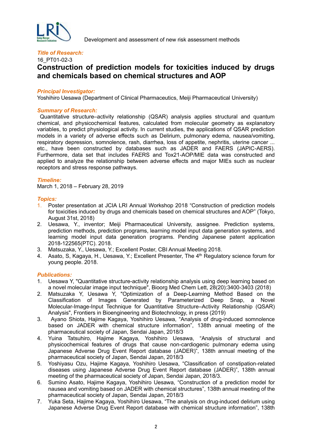

#### **Title of Research:** 16 PT01-02-3

## **Construction of prediction models for toxicities induced by drugs** and chemicals based on chemical structures and AOP

#### **Principal Investigator:**

Yoshihiro Uesawa (Department of Clinical Pharmaceutics, Meiji Pharmaceutical University)

#### **Summary of Research:**

Quantitative structure–activity relationship (QSAR) analysis applies structural and quantum chemical, and physicochemical features, calculated from molecular geometry as explanatory variables, to predict physiological activity. In current studies, the applications of QSAR prediction models in a variety of adverse effects such as Delirium, pulmonary edema, nausea/vomiting, respiratory depression, somnolence, rash, diarrhea, loss of appetite, nephritis, uterine cancer ... etc., have been constructed by databases such as JADER and FAERS (JAPIC-AERS). Furthermore, data set that includes FAERS and Tox21-AOP/MIE data was constructed and applied to analyze the relationship between adverse effects and major MIEs such as nuclear receptors and stress response pathways.

#### *:Timeline*

March 1, 2018 – February 28, 2019

#### *:Topics*

- 1. Poster presentation at JCIA LRI Annual Workshop 2018 "Construction of prediction models for toxicities induced by drugs and chemicals based on chemical structures and AOP" (Tokyo, August 31st, 2018)
- 2. Uesawa, Y., inventor; Meiji Pharmaceutical University, assignee. Prediction systems, prediction methods, prediction programs, learning model input data generation systems, and learning model input data generation programs. Pending Japanese patent application 2018-122565(PTC). 2018.
- 3. Matsuzaka, Y., Uesawa, Y.; Excellent Poster, CBI Annual Meeting 2018.
- 4. Asato, S. Kagaya, H., Uesawa, Y.; Excellent Presenter, The 4<sup>th</sup> Regulatory science forum for young people. 2018.

- 1. Uesawa Y, "Quantitative structure-activity relationship analysis using deep learning based on a novel molecular image input technique", Bioorg Med Chem Lett,  $28(20)3400-3403$  (2018)
- 2. Matsuzaka Y, Uesawa Y, "Optimization of a Deep-Learning Method Based on the Classification of Images Generated by Parameterized Deep Snap, a Novel Molecular-Image-Input Technique for Quantitative Structure-Activity Relationship (QSAR) Analysis", Frontiers in Bioengineering and Biotechnology, in press (2019)
- 3. Ayano Shiota, Haiime Kagaya, Yoshihiro Uesawa, "Analysis of drug-induced somnolence based on JADER with chemical structure information", 138th annual meeting of the pharmaceutical society of Japan, Sendai Japan, 2018/3
- 4. Yuina Tatsuhiro, Hajime Kagaya, Yoshihiro Uesawa, "Analysis of structural and physicochemical features of drugs that cause non-cardiogenic pulmonary edema using Japanese Adverse Drug Event Report database (JADER)", 138th annual meeting of the pharmaceutical society of Japan. Sendai Japan. 2018/3
- 5. Yoshiyasu Ozu, Hajime Kagaya, Yoshihiro Uesawa, "Classification of constipation-related diseases using Japanese Adverse Drug Event Report database (JADER)", 138th annual meeting of the pharmaceutical society of Japan. Sendai Japan. 2018/3.
- 6. Sumino Asato, Hajime Kagaya, Yoshihiro Uesawa, "Construction of a prediction model for nausea and vomiting based on JADER with chemical structures", 138th annual meeting of the pharmaceutical society of Japan, Sendai Japan, 2018/3
- 7. Yuka Seta, Haiime Kagaya, Yoshihiro Uesawa, "The analysis on drug-induced delirium using Japanese Adverse Drug Event Report database with chemical structure information", 138th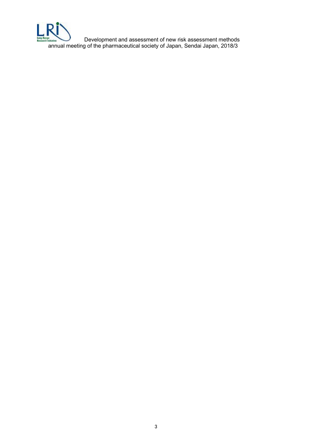

Development and assessment of new risk assessment methods annual meeting of the pharmaceutical society of Japan, Sendai Japan, 2018/3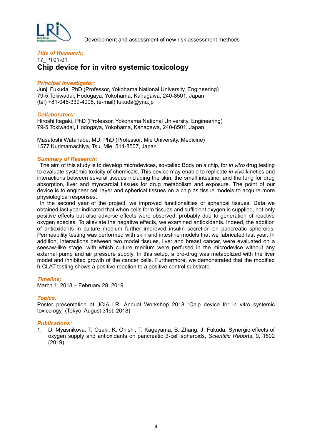

Development and assessment of new risk assessment methods

### **Title of Research:** 17 PT01-01 **Chip device for in vitro systemic toxicology**

#### **Principal Investigator:**

Junii Fukuda, PhD (Professor, Yokohama National University, Engineering) 79-5 Tokiwadai, Hodogaya, Yokohama, Kanagawa, 240-8501, Japan (tel) +81-045-339-4008, (e-mail) fukuda@ynu.jp

#### *:Collaborators*

Hiroshi Itagaki, PhD (Professor, Yokohama National University, Engineering) 79-5 Tokiwadai, Hodogaya, Yokohama, Kanagawa, 240-8501, Japan

Masatoshi Watanabe, MD, PhD (Professor, Mie University, Medicine) 1577 Kurimamachiya, Tsu, Mie, 514-8507, Japan

#### **Summary of Research:**

The aim of this study is to develop microdevices, so-called Body on a chip, for *in vitro* drug testing to evaluate systemic toxicity of chemicals. This device may enable to replicate *in vivo* kinetics and interactions between several tissues including the skin, the small intestine, and the lung for drug absorption, liver and myocardial tissues for drug metabolism and exposure. The point of our device is to engineer cell layer and spherical tissues on a chip as tissue models to acquire more physiological responses.

In the second year of the project, we improved functionalities of spherical tissues. Data we obtained last year indicated that when cells form tissues and sufficient oxygen is supplied, not only positive effects but also adverse effects were observed, probably due to generation of reactive oxygen species. To alleviate the negative effects, we examined antioxidants. Indeed, the addition of antioxidants in culture medium further improved insulin secretion on pancreatic spheroids. Permeability testing was performed with skin and intestine models that we fabricated last year. In addition, interactions between two model tissues, liver and breast cancer, were evaluated on a seesaw-like stage, with which culture medium were perfused in the microdevice without any external pump and air pressure supply. In this setup, a pro-drug was metabolized with the liver model and inhibited growth of the cancer cells. Furthermore, we demonstrated that the modified h-CLAT testing shows a positive reaction to a positive control substrate.

#### *:Timeline*

March 1, 2018 - February 28, 2019

#### *:Topics*

Poster presentation at JCIA LRI Annual Workshop 2018 "Chip device for in vitro systemic toxicology" (Tokyo, August 31st, 2018)

#### *:Publications*

1. D. Myasnikova, T. Osaki, K. Onishi, T. Kageyama, B. Zhang, J. Fukuda, Synergic effects of oxygen supply and antioxidants on pancreatic β-cell spheroids, Scientific Reports, 9, 1802 (2019)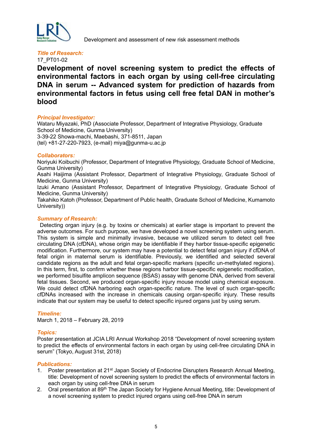

17 PT01-02

Development of novel screening system to predict the effects of **environmental factors in each organ by using cell-free circulating from hazards of prediction in serum -- Advanced system for prediction of hazards from environmental factors in fetus using cell free fetal DAN in mother's blood**

#### **Principal Investigator:**

Wataru Mivazaki, PhD (Associate Professor, Department of Integrative Physiology, Graduate School of Medicine, Gunma University) 3-39-22 Showa-machi, Maebashi, 371-8511, Japan  $(tel) +81-27-220-7923$ , (e-mail) miya@gunma-u.ac.jp

#### *:Collaborators*

Noriyuki Koibuchi (Professor, Department of Integrative Physiology, Graduate School of Medicine, Gunma University)

Asahi Haijima (Assistant Professor, Department of Integrative Physiology, Graduate School of Medicine. Gunma University)

Izuki Amano (Assistant Professor, Department of Integrative Physiology, Graduate School of Medicine, Gunma University)

Takahiko Katoh (Professor, Department of Public health, Graduate School of Medicine, Kumamoto University))

#### **Summary of Research:**

Detecting organ injury (e.g. by toxins or chemicals) at earlier stage is important to prevent the adverse outcomes. For such purpose, we have developed a novel screening system using serum. This system is simple and minimally invasive, because we utilized serum to detect cell free circulating DNA (cfDNA), whose origin may be identifiable if they harbor tissue-specific epigenetic modification. Furthermore, our system may have a potential to detect fetal organ injury if cfDNA of fetal origin in maternal serum is identifiable. Previously, we identified and selected several candidate regions as the adult and fetal organ-specific markers (specific un-methylated regions). In this term, first, to confirm whether these regions harbor tissue-specific epigenetic modification, we performed bisulfite amplicon sequence (BSAS) assay with genome DNA, derived from several fetal tissues. Second, we produced organ-specific injury mouse model using chemical exposure. We could detect cfDNA harboring each organ-specific nature. The level of such organ-specific cfDNAs increased with the increase in chemicals causing organ-specific injury. These results indicate that our system may be useful to detect specific injured organs just by using serum.

#### *:Timeline*

March 1, 2018 - February 28, 2019

#### *:Topics*

Poster presentation at JCIA LRI Annual Workshop 2018 "Development of novel screening system to predict the effects of environmental factors in each organ by using cell-free circulating DNA in serum" (Tokyo, August 31st, 2018)

- 1. Poster presentation at 21<sup>st</sup> Japan Society of Endocrine Disrupters Research Annual Meeting, title: Development of novel screening system to predict the effects of environmental factors in each organ by using cell-free DNA in serum
- 2. Oral presentation at 89<sup>th</sup> The Japan Society for Hygiene Annual Meeting, title: Development of a novel screening system to predict injured organs using cell-free DNA in serum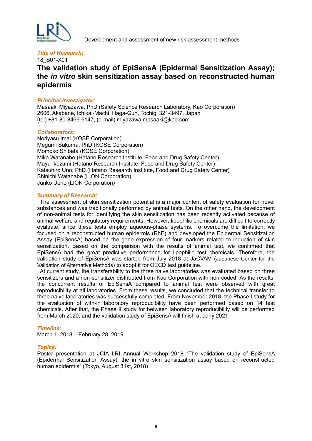

Development and assessment of new risk assessment methods

#### **Title of Research:**

#### 18\_S01-X01

## The validation study of EpiSensA (Epidermal Sensitization Assay);  **the in vitro skin sensitization assay based on reconstructed human epidermis**

#### **Principal Investigator:**

Masaaki Miyazawa, PhD (Safety Science Research Laboratory, Kao Corporation) 2606, Akabane, Ichikai-Machi, Haga-Gun, Tochigi 321-3497, Japan  $(tel) +81-80-8466-6147$ , (e-mail) miyazawa.masaaki@kao.com

#### *:Collaborators*

Noriyasu Imai (KOSÉ Corporation) Megumi Sakuma, PhD (KOSÉ Corporation) Momoko Shibata (KOSÉ Corporation) Mika Watanabe (Hatano Research Institute, Food and Drug Safety Center) Mayu Ikezumi (Hatano Research Institute, Food and Drug Safety Center) Katsuhiro Uno. PhD (Hatano Research Institute. Food and Drug Safety Center) Shinichi Watanabe (LION Corporation) Junko Ueno (LION Corporation)

#### **Summary of Research:**

The assessment of skin sensitization potential is a major content of safety evaluation for novel substances and was traditionally performed by animal tests. On the other hand, the development of non-animal tests for identifying the skin sensitization has been recently activated because of animal welfare and regulatory requirements. However, lipophilic chemicals are difficult to correctly evaluate, since these tests employ aqueous-phase systems. To overcome the limitation, we focused on a reconstructed human epidermis (RhE) and developed the Epidermal Sensitization Assay (EpiSensA) based on the gene expression of four markers related to induction of skin sensitization. Based on the comparison with the results of animal test, we confirmed that EpiSensA had the great predictive performance for lipophilic test chemicals. Therefore, the validation study of EpiSensA was started from July 2018 at JaCVAM (Japanese Center for the Validation of Alternative Methods) to adopt it for OECD test guideline.

At current study, the transferability to the three naive laboratories was evaluated based on three sensitizers and a non-sensitizer distributed from Kao Corporation with non-coded. As the results, the concurrent results of EpiSensA compared to animal test were observed with great reproducibility at all laboratories. From these results, we concluded that the technical transfer to three naive laboratories was successfully completed. From November 2018, the Phase I study for the evaluation of with-in laboratory reproducibility have been performed based on 14 test chemicals. After that, the Phase II study for between laboratory reproducibility will be performed from March 2020, and the validation study of EpiSensA will finish at early 2021.

#### *:Timeline*

March 1, 2018 - February 28, 2019

#### *:Topics*

Poster presentation at JCIA LRI Annual Workshop 2018 "The validation study of EpiSensA (Epidermal Sensitization Assay); the in vitro skin sensitization assay based on reconstructed human epidermis" (Tokyo, August 31st, 2018)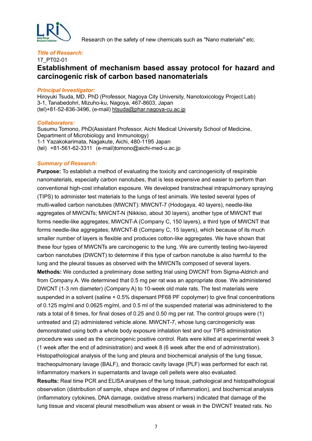

Research on the safety of new chemicals such as "Nano materials" etc.

#### **Title of Research:**

## 17\_PT02-01 **Establishment of mechanism based assay protocol for hazard and carcinogenic risk of carbon based nanomaterials**

#### **Principal Investigator:**

Hiroyuki Tsuda, MD, PhD (Professor, Nagoya City University, Nanotoxicology Project Lab) 3-1, Tanabedohri, Mizuho-ku, Nagoya, 467-8603, Japan (tel)+81-52-836-3496, (e-mail) htsuda@phar.nagoya-cu.ac.jp

#### *:Collaborators*

Susumu Tomono, PhD(Assistant Professor, Aichi Medical University School of Medicine, Department of Microbiology and Immunology) 1-1 Yazakokarimata, Nagakute, Aichi, 480-1195 Japan  $(tel)$  +81-561-62-3311 (e-mail)tomono@aichi-med-u.ac.jp

#### **Summary of Research:**

**Purpose:** To establish a method of evaluating the toxicity and carcinogenicity of respirable nanomaterials, especially carbon nanotubes, that is less expensive and easier to perform than conventional high-cost inhalation exposure. We developed transtracheal intrapulmonary spraying (TIPS) to administer test materials to the lungs of test animals. We tested several types of multi-walled carbon nanotubes (MWCNT): MWCNT-7 (Hodogaya, 40 layers), needle-like aggregates of MWCNTs; MWCNT-N (Nikkiso, about 30 layers), another type of MWCNT that forms needle-like aggregates; MWCNT-A (Company C, 150 layers), a third type of MWCNT that forms needle-like aggregates; MWCNT-B (Company C, 15 layers), which because of its much smaller number of layers is flexible and produces cotton-like aggregates. We have shown that these four types of MWCNTs are carcinogenic to the lung. We are currently testing two-layered carbon nanotubes (DWCNT) to determine if this type of carbon nanotube is also harmful to the lung and the pleural tissues as observed with the MWCNTs composed of several layers. Methods: We conducted a preliminary dose setting trial using DWCNT from Sigma-Aldrich and from Company A. We determined that 0.5 mg per rat was an appropriate dose. We administered DWCNT (1-3 nm diameter) (Company A) to 10-week old male rats. The test materials were suspended in a solvent (saline + 0.5% dispersant PF68 PF copolymer) to give final concentrations of 0.125 mg/ml and 0.0625 mg/ml, and 0.5 ml of the suspended material was administered to the rats a total of 8 times, for final doses of 0.25 and 0.50 mg per rat. The control groups were (1) untreated and (2) administered vehicle alone. MWCNT-7, whose lung carcinogenicity was demonstrated using both a whole body exposure inhalation test and our TIPS administration procedure was used as the carcinogenic positive control. Rats were killed at experimental week 3  $(1$  week after the end of administration) and week 8 (6 week after the end of administration). Histopathological analysis of the lung and pleura and biochemical analysis of the lung tissue, tracheopulmonary lavage (BALF), and thoracic cavity lavage (PLF) was performed for each rat. Inflammatory markers in supernatants and lavage cell pellets were also evaluated.

Results: Real time PCR and ELISA analyses of the lung tissue, pathological and histopathological observation (distribution of sample, shape and degree of inflammation), and biochemical analysis (inflammatory cytokines, DNA damage, oxidative stress markers) indicated that damage of the lung tissue and visceral pleural mesothelium was absent or weak in the DWCNT treated rats. No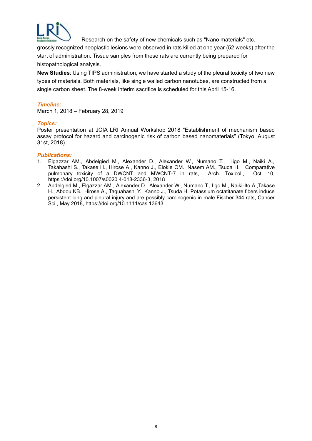

Research on the safety of new chemicals such as "Nano materials" etc.

grossly recognized neoplastic lesions were observed in rats killed at one year (52 weeks) after the start of administration. Tissue samples from these rats are currently being prepared for histopathological analysis.

New Studies: Using TIPS administration, we have started a study of the pleural toxicity of two new types of materials. Both materials, like single walled carbon nanotubes, are constructed from a single carbon sheet. The 8-week interim sacrifice is scheduled for this April 15-16.

#### *:Timeline*

March 1, 2018 - February 28, 2019

#### *:Topics*

Poster presentation at JCIA LRI Annual Workshop 2018 "Establishment of mechanism based assay protocol for hazard and carcinogenic risk of carbon based nanomaterials" (Tokyo, August 31st, 2018)

- 1. Elgazzar AM., Abdelgied M., Alexander D., Alexander W., Numano T., ligo M., Naiki A., Takahashi S., Takase H., Hirose A., Kanno J., Elokle OM., Nasem AM., Tsuda H. Comparative pulmonary toxicity of a DWCNT and MWCNT-7 in rats, Arch. Toxicol., Oct. 10, https://doi.org/10.1007/s0020 4-018-2336-3, 2018
- 2. Abdelgied M., Elgazzar AM., Alexander D., Alexander W., Numano T., ligo M., Naiki-Ito A.,Takase H., Abdou KB., Hirose A., Taquahashi Y., Kanno J., Tsuda H. Potassium octatitanate fibers induce persistent lung and pleural injury and are possibly carcinogenic in male Fischer 344 rats, Cancer Sci., May 2018, https://doi.org/10.1111/cas.13643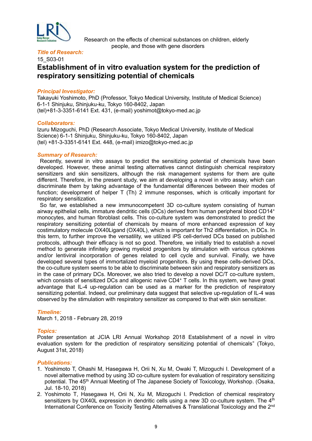

Research on the effects of chemical substances on children, elderly people, and those with gene disorders

#### **Title of Research:**

15 S03-01

## **Establishment of in vitro evaluation system for the prediction of respiratory sensitizing potential of chemicals**

#### **Principal Investigator:**

Takayuki Yoshimoto, PhD (Professor, Tokyo Medical University, Institute of Medical Science) 6-1-1 Shinjuku, Shinjuku-ku, Tokyo 160-8402, Japan  $(tel)+81-3-3351-6141$  Ext. 431,  $(e$ -mail) yoshimot@tokyo-med.ac.jp

#### *:Collaborators*

Izuru Mizoguchi, PhD (Research Associate, Tokyo Medical University, Institute of Medical Science) 6-1-1 Shinjuku, Shinjuku-ku, Tokyo 160-8402, Japan  $(tel) +81-3-3351-6141$  Ext. 448,  $(e-mail)$  imizo $@$ tokyo-med.ac.ip

#### **Summary of Research:**

Recently, several in vitro assays to predict the sensitizing potential of chemicals have been developed. However, these animal testing alternatives cannot distinguish chemical respiratory sensitizers and skin sensitizers, although the risk management systems for them are quite different. Therefore, in the present study, we aim at developing a novel in vitro assay, which can discriminate them by taking advantage of the fundamental differences between their modes of function; development of helper  $T(Th)$  2 immune responses, which is critically important for respiratory sensitization.

So far, we established a new immunocompetent 3D co-culture system consisting of human airway epithelial cells, immature dendritic cells (DCs) derived from human peripheral blood CD14<sup>+</sup> monocytes, and human fibroblast cells. This co-culture system was demonstrated to predict the respiratory sensitizing potential of chemicals by means of more enhanced expression of key costimulatory molecule OX40Ligand (OX40L), which is important for Th2 differentiation, in DCs. In this term, to further improve the versatility, we utilized iPS cell-derived DCs based on published protocols, although their efficacy is not so good. Therefore, we initially tried to establish a novel method to generate infinitely growing myeloid progenitors by stimulation with various cytokines and/or lentiviral incorporation of genes related to cell cycle and survival. Finally, we have developed several types of immortalized myeloid progenitors. By using these cells-derived DCs, the co-culture system seems to be able to discriminate between skin and respiratory sensitizers as in the case of primary DCs. Moreover, we also tried to develop a novel DC/T co-culture system. which consists of sensitized DCs and allogenic naive  $CD4+T$  cells. In this system, we have great advantage that IL-4 up-regulation can be used as a marker for the prediction of respiratory sensitizing potential. Indeed, our preliminary data suggest that selective up-regulation of IL-4 was observed by the stimulation with respiratory sensitizer as compared to that with skin sensitizer.

#### *:Timeline*

March 1, 2018 - February 28, 2019

#### *:Topics*

Poster presentation at JCIA LRI Annual Workshop 2018 Establishment of a novel in vitro evaluation system for the prediction of respiratory sensitizing potential of chemicals" (Tokyo, August 31st, 2018)

- 1. Yoshimoto T, Ohashi M, Hasegawa H, Orii N, Xu M, Owaki T, Mizoguchi I. Development of a novel alternative method by using 3D co-culture system for evaluation of respiratory sensitizing potential. The 45<sup>th</sup> Annual Meeting of The Japanese Society of Toxicology, Workshop. (Osaka, Jul. 18-10, 2018)
- 2. Yoshimoto T, Hasegawa H, Orii N, Xu M, Mizoguchi I. Prediction of chemical respiratory sensitizers by OX40L expression in dendritic cells using a new 3D co-culture system. The  $4<sup>th</sup>$ International Conference on Toxicity Testing Alternatives & Translational Toxicology and the 2<sup>nd</sup>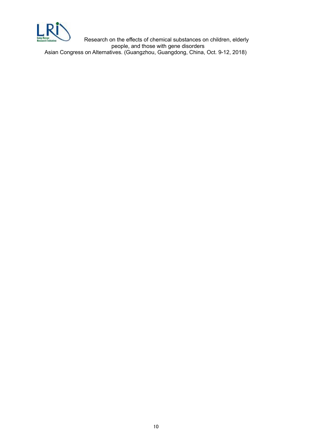

Research on the effects of chemical substances on children, elderly people, and those with gene disorders Asian Congress on Alternatives. (Guangzhou, Guangdong, China, Oct. 9-12, 2018)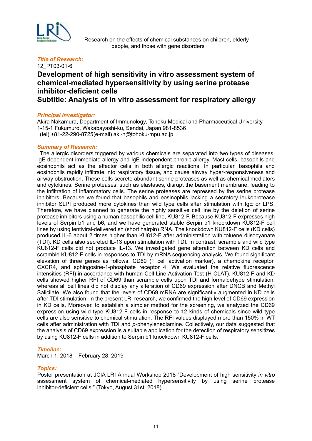

Research on the effects of chemical substances on children, elderly people, and those with gene disorders

#### **Title of Research:**

## 12 PT03-01-6 **Development of high sensitivity in vitro assessment system of** chemical-mediated hypersensitivity by using serine protease **inhibitor-deficient cells Subtitle: Analysis of in vitro assessment for respiratory allergy**

#### **Principal Investigator:**

Akira Nakamura, Department of Immunology, Tohoku Medical and Pharmaceutical University 1-15-1 Fukumuro, Wakabayashi-ku, Sendai, Japan 981-8536  $(tel) +81-22-290-8725(e-mail)$  aki-n@tohoku-mpu.ac.jp

#### **Summary of Research:**

The allergic disorders triggered by various chemicals are separated into two types of diseases. IgE-dependent immediate allergy and IgE-independent chronic allergy. Mast cells, basophils and eosinophils act as the effector cells in both allergic reactions. In particular, basophils and eosinophils rapidly infiltrate into respiratory tissue, and cause airway hyper-responsiveness and airway obstruction. These cells secrete abundant serine proteases as well as chemical mediators and cytokines. Serine proteases, such as elastases, disrupt the basement membrane, leading to the infiltration of inflammatory cells. The serine proteases are repressed by the serine protease inhibitors. Because we found that basophils and eosinophils lacking a secretory leukoprotease inhibitor SLPI produced more cytokines than wild type cells after stimulation with IqE or LPS. Therefore, we have planned to generate the highly sensitive cell line by the deletion of serine protease inhibitors using a human basophilic cell line, KU812-F. Because KU812-F expresses high levels of Serpin b1 and b6, and we have generated stable Serpin b1 knockdown KU812-F cell lines by using lentiviral-delivered sh (short hairpin) RNA. The knockdown KU812-F cells (KD cells) produced IL-6 about 2 times higher than KU812-F after administration with toluene diisocyanate (TDI). KD cells also secreted IL-13 upon stimulation with TDI. In contrast, scramble and wild type KU812-F cells did not produce IL-13. We investigated gene alteration between KD cells and scramble KU812-F cells in responses to TDI by mRNA sequencing analysis. We found significant elevation of three genes as follows: CD69 (T cell activation marker), a chemokine receptor,  $CXCR4$ , and sphingosine-1-phosphate receptor 4. We evaluated the relative fluorescence intensities (RFI) in accordance with human Cell Line Activation Test (H-CLAT). KU812-F and KD cells showed higher RFI of CD69 than scramble cells upon TDI and formaldehyde stimulation, whereas all cell lines did not display any alteration of CD69 expression after DNCB and Methyl Salicilate. We also found that the levels of CD69 mRNA are significantly augmented in KD cells after TDI stimulation. In the present LRI research, we confirmed the high level of CD69 expression in KD cells. Moreover, to establish a simpler method for the screening, we analyzed the CD69 expression using wild type KU812-F cells in response to 12 kinds of chemicals since wild type cells are also sensitive to chemical stimulation. The RFI values displayed more than 150% in WT cells after administration with TDI and p-phenylenediamine. Collectively, our data suggested that the analysis of CD69 expression is a suitable application for the detection of respiratory sensitizes by using KU812-F cells in addition to Serpin b1 knockdown KU812-F cells.

#### *:Timeline*

March 1, 2018 - February 28, 2019

#### *:Topics*

Poster presentation at JCIA LRI Annual Workshop 2018 "Development of high sensitivity in vitro assessment system of chemical-mediated hypersensitivity by using serine protease inhibitor-deficient cells." (Tokyo, August 31st, 2018)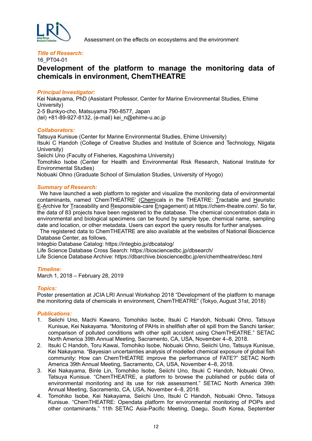

#### 16 PT04-01

## Development of the platform to manage the monitoring data of chemicals in environment. ChemTHEATRE

#### **Principal Investigator:**

Kei Nakayama, PhD (Assistant Professor, Center for Marine Environmental Studies, Ehime (University 2-5 Bunkyo-cho, Matsuyama 790-8577, Japan (tel)  $+81-89-927-8132$ , (e-mail) kei n@ehime-u.ac.jp

#### *:Collaborators*

Tatsuva Kunisue (Center for Marine Environmental Studies, Ehime University) Itsuki C Handoh (College of Creative Studies and Institute of Science and Technology, Niigata (University Seiichi Uno (Faculty of Fisheries, Kagoshima University) Tomohiko Isobe (Center for Health and Environmental Risk Research, National Institute for Environmental Studies)

Nobuaki Ohno (Graduate School of Simulation Studies, University of Hyogo)

#### **Summary of Research:**

We have launched a web platform to register and visualize the monitoring data of environmental contaminants, named 'ChemTHEATRE' (Chemicals in the THEATRE: Tractable and Heuristic E-Archive for Traceability and Responsible-care Engagement) at https://chem-theatre.com/. So far, the data of 83 projects have been registered to the database. The chemical concentration data in environmental and biological specimens can be found by sample type, chemical name, sampling date and location, or other metadata. Users can export the query results for further analyses.

The registered data to ChemTHEATRE are also available at the websites of National Bioscience Database Center, as follows.

Integbio Database Catalog: https://integbio.jp/dbcatalog/

Life Science Database Cross Search: https://biosciencedbc.jp/dbsearch/

Life Science Database Archive: https://dbarchive.biosciencedbc.jp/en/chemtheatre/desc.html

*:Timeline*

March 1, 2018 - February 28, 2019

#### *:Topics*

Poster presentation at JCIA LRI Annual Workshop 2018 "Development of the platform to manage the monitoring data of chemicals in environment, ChemTHEATRE" (Tokyo, August 31st, 2018)

- 1. Seiichi Uno, Machi Kawano, Tomohiko Isobe, Itsuki C Handoh, Nobuaki Ohno, Tatsuya Kunisue, Kei Nakayama. "Monitoring of PAHs in shellfish after oil spill from the Sanchi tanker; comparison of polluted conditions with other spill accident using ChemTHEATRE." SETAC North America 39th Annual Meeting, Sacramento, CA, USA, November 4-8, 2018.
- 2. Itsuki C Handoh, Toru Kawai, Tomohiko Isobe, Nobuaki Ohno, Seiichi Uno, Tatsuva Kunisue, Kei Nakayama. "Bayesian uncertainties analysis of modelled chemical exposure of global fish community: How can ChemTHEATRE improve the performance of FATE?" SETAC North America 39th Annual Meeting. Sacramento, CA, USA, November 4–8, 2018.
- 3. Kei Nakayama, Binle Lin, Tomohiko Isobe, Seiichi Uno, Itsuki C Handoh, Nobuaki Ohno, Tatsuya Kunisue. "ChemTHEATRE, a platform to browse the published or public data of environmental monitoring and its use for risk assessment." SETAC North America 39th Annual Meeting, Sacramento, CA, USA, November 4-8, 2018.
- 4. Tomohiko Isobe, Kei Nakayama, Seiichi Uno, Itsuki C Handoh, Nobuaki Ohno. Tatsuya Kunisue. "ChemTHEATRE: Opendata platform for environmental monitoring of POPs and other contaminants." 11th SETAC Asia-Pacific Meeting, Daegu, South Korea, September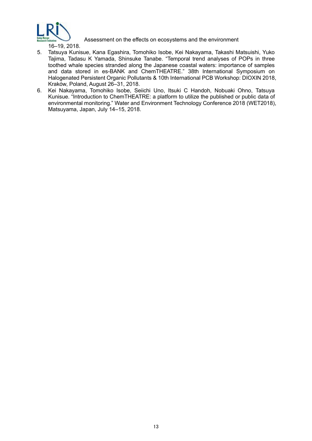

Assessment on the effects on ecosystems and the environment

- 16-19, 2018.
- 5. Tatsuya Kunisue, Kana Egashira, Tomohiko Isobe, Kei Nakayama, Takashi Matsuishi, Yuko Tajima, Tadasu K Yamada, Shinsuke Tanabe. "Temporal trend analyses of POPs in three toothed whale species stranded along the Japanese coastal waters: importance of samples and data stored in es-BANK and ChemTHEATRE." 38th International Symposium on Halogenated Persistent Organic Pollutants & 10th International PCB Workshop: DIOXIN 2018. Kraków, Poland, August 26-31, 2018.
- 6. Kei Nakayama, Tomohiko Isobe, Seiichi Uno, Itsuki C Handoh, Nobuaki Ohno, Tatsuya Kunisue, "Introduction to ChemTHEATRE: a platform to utilize the published or public data of heritative the calculative Cheminical Water of Phanetin to annual the parameters of particles.<br>" Water and Environment Technology Conference 2018 (WET2018), Matsuyama, Japan, July 14-15, 2018.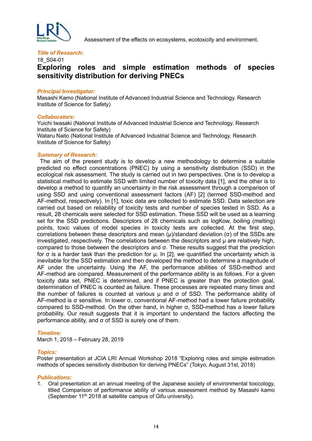

#### 18 S04-01

## **Exploring roles and simple estimation methods of species sensitivity distribution for deriving PNECs**

#### **Principal Investigator:**

Masashi Kamo (National Institute of Advanced Industrial Science and Technology. Research Institute of Science for Safety)

#### *:Collaborators*

Yuichi Iwasaki (National Institute of Advanced Industrial Science and Technology. Research Institute of Science for Safety)

Wataru Naito (National Institute of Advanced Industrial Science and Technology. Research Institute of Science for Safety)

#### **Summary of Research:**

The aim of the present study is to develop a new methodology to determine a suitable predicted no effect concentrations (PNEC) by using a sensitivity distribution (SSD) in the ecological risk assessment. The study is carried out in two perspectives. One is to develop a statistical method to estimate SSD with limited number of toxicity data [1], and the other is to develop a method to quantify an uncertainty in the risk assessment through a comparison of using SSD and using conventional assessment factors (AF) [2] (termed SSD-method and AF-method, respectively). In [1], toxic data are collected to estimate SSD. Data selection are carried out based on reliability of toxicity tests and number of species tested in SSD. As a result, 28 chemicals were selected for SSD estimation. These SSD will be used as a learning set for the SSD predictions. Descriptors of 28 chemicals such as logKow, boiling (melting) points, toxic values of model species in toxicity tests are collected. At the first step. correlations between these descriptors and mean  $(\mu)$ /standard deviation ( $\sigma$ ) of the SSDs are investigated, respectively. The correlations between the descriptors and u are relatively high. compared to those between the descriptors and  $\sigma$ . These results suggest that the prediction for σ is a harder task than the prediction for  $\mu$ . In [2], we quantified the uncertainty which is inevitable for the SSD estimation and then developed the method to determine a magnitude of AF under the uncertainty. Using the AF, the performance abilities of SSD-method and AF-method are compared. Measurement of the performance ability is as follows. For a given toxicity data set. PNEC is determined, and if PNEC is greater than the protection goal. determination of PNEC is counted as failure. These processes are repeated many times and the number of failures is counted at various  $\mu$  and  $\sigma$  of SSD. The performance ability of  $AF$ -method is σ sensitive. In lower σ, conventional AF-method had a lower failure probability  $compared$  to SSD-method. On the other hand, in higher σ. SSD-method has a lower failure probability. Our result suggests that it is important to understand the factors affecting the performance ability, and  $\sigma$  of SSD is surely one of them.

#### *:Timeline*

March 1, 2018 – February 28, 2019

#### *:Topics*

Poster presentation at JCIA LRI Annual Workshop 2018 "Exploring roles and simple estimation methods of species sensitivity distribution for deriving PNECs" (Tokyo, August 31st, 2018)

#### *:Publications*

1. Oral presentation at an annual meeting of the Japanese society of environmental toxicology, titled Comparison of performance ability of various assessment method by Masashi kamo (September  $11<sup>th</sup>$  2018 at satellite campus of Gifu university).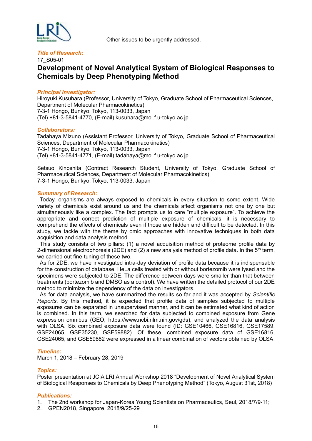

Other issues to be urgently addressed.

#### **Title of Research:**

#### 17\_S05-01

## **Development of Novel Analytical System of Biological Responses to Chemicals by Deep Phenotyping Method**

#### **Principal Investigator:**

Hiroyuki Kusuhara (Professor, University of Tokyo, Graduate School of Pharmaceutical Sciences, Department of Molecular Pharmacokinetics) 7-3-1 Hongo, Bunkyo, Tokyo, 113-0033, Japan (Tel) +81-3-5841-4770, (E-mail) kusuhara@mol.f.u-tokyo.ac.jp

#### *:Collaborators*

Tadahaya Mizuno (Assistant Professor, University of Tokyo, Graduate School of Pharmaceutical Sciences, Department of Molecular Pharmacokinetics) 7-3-1 Hongo, Bunkyo, Tokyo, 113-0033, Japan (Tel) +81-3-5841-4771, (E-mail) tadahaya@mol.f.u-tokyo.ac.jp

Setsuo Kinoshita (Contract Research Student, University of Tokyo, Graduate School of Pharmaceutical Sciences, Department of Molecular Pharmacokinetics) 7-3-1 Hongo, Bunkyo, Tokyo, 113-0033, Japan

#### **Summary of Research:**

Today, organisms are always exposed to chemicals in every situation to some extent. Wide variety of chemicals exist around us and the chemicals affect organisms not one by one but simultaneously like a complex. The fact prompts us to care "multiple exposure". To achieve the appropriate and correct prediction of multiple exposure of chemicals, it is necessary to comprehend the effects of chemicals even if those are hidden and difficult to be detected. In this study, we tackle with the theme by omic approaches with innovative techniques in both data acquisition and data analysis method.

This study consists of two pillars: (1) a novel acquisition method of proteome profile data by 2-dimensional electrophoresis (2DE) and (2) a new analysis method of profile data. In the  $5<sup>th</sup>$  term, we carried out fine-tuning of these two.

As for 2DE, we have investigated intra-day deviation of profile data because it is indispensable for the construction of database. HeLa cells treated with or without bortezomib were lysed and the specimens were subjected to 2DE. The difference between days were smaller than that between treatments (bortezomib and DMSO as a control). We have written the detailed protocol of our 2DE method to minimize the dependency of the data on investigators.

As for data analysis, we have summarized the results so far and it was accepted by Scientific Reports. By this method, it is expected that profile data of samples subjected to multiple exposures can be separated in unsupervised manner, and it can be estimated what kind of action is combined. In this term, we searched for data subjected to combined exposure from Gene expression omnibus (GEO; https://www.ncbi.nlm.nih.gov/gds), and analyzed the data analysis with OLSA, Six combined exposure data were found (ID: GSE10466, GSE16816, GSE17589, GSE24065, GSE35230, GSE59882). Of these, combined exposure data of GSE16816, GSE24065, and GSE59882 were expressed in a linear combination of vectors obtained by OLSA.

#### *:Timeline*

March 1, 2018 - February 28, 2019

#### *:Topics*

Poster presentation at JCIA LRI Annual Workshop 2018 "Development of Novel Analytical System of Biological Responses to Chemicals by Deep Phenotyping Method" (Tokyo, August 31st, 2018)

#### *:Publications*

1. The 2nd workshop for Japan-Korea Young Scientists on Pharmaceutics, Seul, 2018/7/9-11;

2. GPEN 2018, Singapore, 2018/9/25-29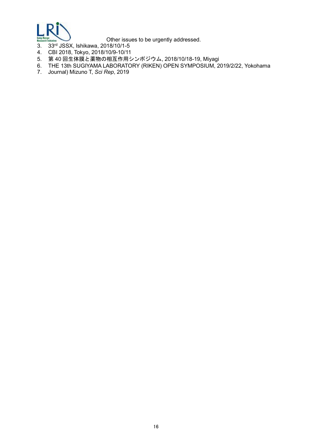

Other issues to be urgently addressed.

- 3. 33rd JSSX, Ishikawa, 2018/10/1-5
- 4. CBI 2018, Tokyo, 2018/10/9-10/11
- 5. 第 40 回生体膜と薬物の相互作用シンポジウム, 2018/10/18-19, Miyagi
- 6. THE 13th SUGIYAMA LABORATORY (RIKEN) OPEN SYMPOSIUM, 2019/2/22, Yokohama
- 7. Journal) Mizuno T, Sci Rep, 2019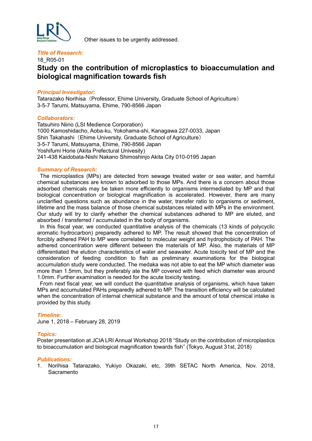

Other issues to be urgently addressed.

#### **Title of Research:**

#### 18\_R05-01

## **Study on the contribution of microplastics to bioaccumulation and fish towards magnification biological**

#### **Principal Investigator:**

Tatarazako Norihisa (Professor, Ehime University, Graduate School of Agriculture) 3-5-7 Tarumi, Matsuyama, Ehime, 790-8566 Japan

#### *:Collaborators*

Tatsuhiro Niino (LSI Medience Corporation) 1000 Kamoshidacho, Aoba-ku, Yokohama-shi, Kanagawa 227-0033, Japan Shin Takahashi (Ehime University, Graduate School of Agriculture) 3-5-7 Tarumi, Matsuyama, Ehime, 790-8566 Japan Yoshifumi Horie (Akita Prefectural Univesity) 241-438 Kaidobata-Nishi Nakano Shimoshinjo Akita City 010-0195 Japan

#### **Summary of Research:**

The microplastics (MPs) are detected from sewage treated water or sea water, and harmful chemical substances are known to adsorbed to those MPs. And there is a concern about those adsorbed chemicals may be taken more efficiently to organisms intermediated by MP and that biological concentration or biological magnification is accelerated. However, there are many unclarified questions such as abundance in the water, transfer ratio to organisms or sediment, lifetime and the mass balance of those chemical substances related with MPs in the environment. Our study will try to clarify whether the chemical substances adhered to MP are eluted, and absorbed / transferred / accumulated in the body of organisms.

In this fiscal year, we conducted quantitative analysis of the chemicals (13 kinds of polycyclic aromatic hydrocarbon) preparedly adhered to MP. The result showed that the concentration of forcibly adhered PAH to MP were correlated to molecular weight and hydrophobicity of PAH. The adhered concentration were different between the materials of MP. Also, the materials of MP differentiated the elution characteristics of water and seawater. Acute toxicity test of MP and the consideration of feeding condition to fish as preliminary examinations for the biological accumulation study were conducted. The medaka was not able to eat the MP which diameter was more than 1.5mm, but they preferably ate the MP covered with feed which diameter was around 1.0mm. Further examination is needed for the acute toxicity testing.

From next fiscal year, we will conduct the quantitative analysis of organisms, which have taken MPs and accumulated PAHs preparedly adhered to MP. The transition efficiency will be calculated when the concentration of internal chemical substance and the amount of total chemical intake is provided by this study.

#### *:Timeline*

June 1, 2018 – February 28, 2019

#### *:Topics*

Poster presentation at JCIA LRI Annual Workshop 2018 "Study on the contribution of microplastics to bioaccumulation and biological magnification towards fish" (Tokyo, August 31st, 2018)

#### *:Publications*

1. Norihisa Tatarazako, Yukiyo Okazaki, etc. 39th SETAC North America, Nov. 2018. Sacramento